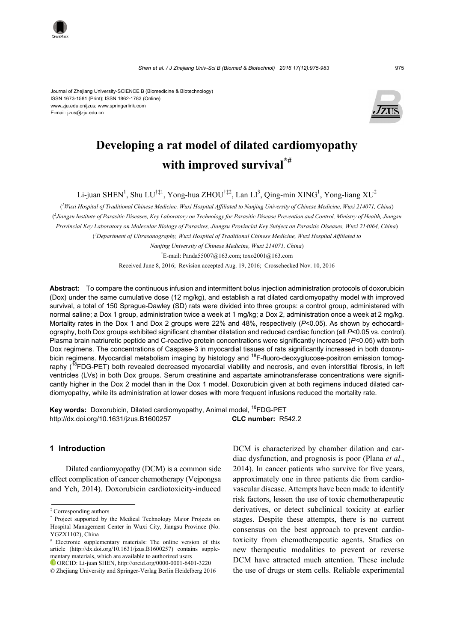Journal of Zhejiang University-SCIENCE B (Biomedicine & Biotechnology) ISSN 1673-1581 (Print); ISSN 1862-1783 (Online) www.zju.edu.cn/jzus; www.springerlink.com E-mail: jzus@zju.edu.cn



# **Developing a rat model of dilated cardiomyopathy with improved survival\*#**

Li-juan SHEN<sup>1</sup>, Shu LU<sup>†‡1</sup>, Yong-hua ZHOU<sup>†‡2</sup>, Lan LI<sup>3</sup>, Qing-min XING<sup>1</sup>, Yong-liang XU<sup>2</sup>

( *1 Wuxi Hospital of Traditional Chinese Medicine, Wuxi Hospital Affiliated to Nanjing University of Chinese Medicine, Wuxi 214071, China*) ( *2 Jiangsu Institute of Parasitic Diseases, Key Laboratory on Technology for Parasitic Disease Prevention and Control, Ministry of Health, Jiangsu Provincial Key Laboratory on Molecular Biology of Parasites, Jiangsu Provincial Key Subject on Parasitic Diseases, Wuxi 214064, China*) ( *3 Department of Ultrasonography, Wuxi Hospital of Traditional Chinese Medicine, Wuxi Hospital Affiliated to* 

*Nanjing University of Chinese Medicine, Wuxi 214071, China*)

† E-mail: Panda55007@163.com; toxo2001@163.com

Received June 8, 2016; Revision accepted Aug. 19, 2016; Crosschecked Nov. 10, 2016

**Abstract:** To compare the continuous infusion and intermittent bolus injection administration protocols of doxorubicin (Dox) under the same cumulative dose (12 mg/kg), and establish a rat dilated cardiomyopathy model with improved survival, a total of 150 Sprague-Dawley (SD) rats were divided into three groups: a control group, administered with normal saline; a Dox 1 group, administration twice a week at 1 mg/kg; a Dox 2, administration once a week at 2 mg/kg. Mortality rates in the Dox 1 and Dox 2 groups were 22% and 48%, respectively (*P*<0.05). As shown by echocardiography, both Dox groups exhibited significant chamber dilatation and reduced cardiac function (all *P*<0.05 vs. control). Plasma brain natriuretic peptide and C-reactive protein concentrations were significantly increased (*P*<0.05) with both Dox regimens. The concentrations of Caspase-3 in myocardial tissues of rats significantly increased in both doxorubicin regimens. Myocardial metabolism imaging by histology and <sup>18</sup>F-fluoro-deoxyglucose-positron emission tomography (<sup>18</sup>FDG-PET) both revealed decreased myocardial viability and necrosis, and even interstitial fibrosis, in left ventricles (LVs) in both Dox groups. Serum creatinine and aspartate aminotransferase concentrations were significantly higher in the Dox 2 model than in the Dox 1 model. Doxorubicin given at both regimens induced dilated cardiomyopathy, while its administration at lower doses with more frequent infusions reduced the mortality rate.

Key words: Doxorubicin, Dilated cardiomyopathy, Animal model, <sup>18</sup>FDG-PET http://dx.doi.org/10.1631/jzus.B1600257 **CLC number:** R542.2

## **1 Introduction**

Dilated cardiomyopathy (DCM) is a common side effect complication of cancer chemotherapy (Vejpongsa and Yeh, 2014). Doxorubicin cardiotoxicity-induced DCM is characterized by chamber dilation and cardiac dysfunction, and prognosis is poor (Plana *et al*., 2014). In cancer patients who survive for five years, approximately one in three patients die from cardiovascular disease. Attempts have been made to identify risk factors, lessen the use of toxic chemotherapeutic derivatives, or detect subclinical toxicity at earlier stages. Despite these attempts, there is no current consensus on the best approach to prevent cardiotoxicity from chemotherapeutic agents. Studies on new therapeutic modalities to prevent or reverse DCM have attracted much attention. These include the use of drugs or stem cells. Reliable experimental

<sup>‡</sup> Corresponding authors

<sup>\*</sup> Project supported by the Medical Technology Major Projects on Hospital Management Center in Wuxi City, Jiangsu Province (No. YGZX1102), China

<sup>#</sup> Electronic supplementary materials: The online version of this article (http://dx.doi.org/10.1631/jzus.B1600257) contains supplementary materials, which are available to authorized users ORCID: Li-juan SHEN, http://orcid.org/0000-0001-6401-3220

<sup>©</sup> Zhejiang University and Springer-Verlag Berlin Heidelberg 2016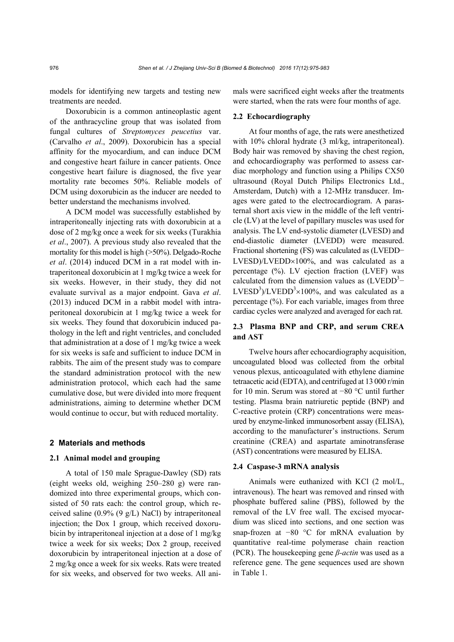models for identifying new targets and testing new treatments are needed.

Doxorubicin is a common antineoplastic agent of the anthracycline group that was isolated from fungal cultures of *Streptomyces peucetius* var. (Carvalho *et al*., 2009). Doxorubicin has a special affinity for the myocardium, and can induce DCM and congestive heart failure in cancer patients. Once congestive heart failure is diagnosed, the five year mortality rate becomes 50%. Reliable models of DCM using doxorubicin as the inducer are needed to better understand the mechanisms involved.

A DCM model was successfully established by intraperitoneally injecting rats with doxorubicin at a dose of 2 mg/kg once a week for six weeks (Turakhia *et al*., 2007). A previous study also revealed that the mortality for this model is high (>50%). Delgado-Roche *et al*. (2014) induced DCM in a rat model with intraperitoneal doxorubicin at 1 mg/kg twice a week for six weeks. However, in their study, they did not evaluate survival as a major endpoint. Gava *et al*. (2013) induced DCM in a rabbit model with intraperitoneal doxorubicin at 1 mg/kg twice a week for six weeks. They found that doxorubicin induced pathology in the left and right ventricles, and concluded that administration at a dose of 1 mg/kg twice a week for six weeks is safe and sufficient to induce DCM in rabbits. The aim of the present study was to compare the standard administration protocol with the new administration protocol, which each had the same cumulative dose, but were divided into more frequent administrations, aiming to determine whether DCM would continue to occur, but with reduced mortality.

## **2 Materials and methods**

#### **2.1 Animal model and grouping**

A total of 150 male Sprague-Dawley (SD) rats (eight weeks old, weighing 250–280 g) were randomized into three experimental groups, which consisted of 50 rats each: the control group, which received saline  $(0.9\%~(9~\text{g/L})$  NaCl) by intraperitoneal injection; the Dox 1 group, which received doxorubicin by intraperitoneal injection at a dose of 1 mg/kg twice a week for six weeks; Dox 2 group, received doxorubicin by intraperitoneal injection at a dose of 2 mg/kg once a week for six weeks. Rats were treated for six weeks, and observed for two weeks. All animals were sacrificed eight weeks after the treatments were started, when the rats were four months of age.

## **2.2 Echocardiography**

At four months of age, the rats were anesthetized with 10% chloral hydrate (3 ml/kg, intraperitoneal). Body hair was removed by shaving the chest region, and echocardiography was performed to assess cardiac morphology and function using a Philips CX50 ultrasound (Royal Dutch Philips Electronics Ltd., Amsterdam, Dutch) with a 12-MHz transducer. Images were gated to the electrocardiogram. A parasternal short axis view in the middle of the left ventricle (LV) at the level of papillary muscles was used for analysis. The LV end-systolic diameter (LVESD) and end-diastolic diameter (LVEDD) were measured. Fractional shortening (FS) was calculated as (LVEDD−  $LVESD$ )/ $LVEDD\times100\%$ , and was calculated as a percentage (%). LV ejection fraction (LVEF) was calculated from the dimension values as  $(LVEDD<sup>3</sup> -$ LVESD<sup>3</sup>)/LVEDD<sup>3</sup> $\times$ 100%, and was calculated as a percentage (%). For each variable, images from three cardiac cycles were analyzed and averaged for each rat.

## **2.3 Plasma BNP and CRP, and serum CREA and AST**

Twelve hours after echocardiography acquisition, uncoagulated blood was collected from the orbital venous plexus, anticoagulated with ethylene diamine tetraacetic acid (EDTA), and centrifuged at 13 000 r/min for 10 min. Serum was stored at −80 °C until further testing. Plasma brain natriuretic peptide (BNP) and C-reactive protein (CRP) concentrations were measured by enzyme-linked immunosorbent assay (ELISA), according to the manufacturer's instructions. Serum creatinine (CREA) and aspartate aminotransferase (AST) concentrations were measured by ELISA.

#### **2.4 Caspase-3 mRNA analysis**

Animals were euthanized with KCl (2 mol/L, intravenous). The heart was removed and rinsed with phosphate buffered saline (PBS), followed by the removal of the LV free wall. The excised myocardium was sliced into sections, and one section was snap-frozen at  $-80$  °C for mRNA evaluation by quantitative real-time polymerase chain reaction (PCR). The housekeeping gene *β-actin* was used as a reference gene. The gene sequences used are shown in Table 1.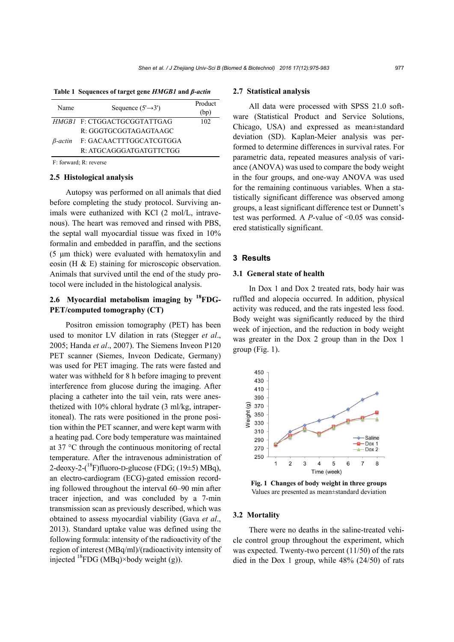**Table 1 Sequences of target gene** *HMGB1* **and** *β-actin*

| Name       | Sequence $(5' \rightarrow 3')$ | Product<br>(bp) |
|------------|--------------------------------|-----------------|
|            | HMGB1 F: CTGGACTGCGGTATTGAG    | 102             |
|            | R: GGGTGCGGTAGAGTAAGC          |                 |
| $B$ -actin | F: GACAACTTTGGCATCGTGGA        |                 |
|            | R: ATGCAGGGATGATGTTCTGG        |                 |

F: forward; R: reverse

#### **2.5 Histological analysis**

Autopsy was performed on all animals that died before completing the study protocol. Surviving animals were euthanized with KCl (2 mol/L, intravenous). The heart was removed and rinsed with PBS, the septal wall myocardial tissue was fixed in 10% formalin and embedded in paraffin, and the sections (5 μm thick) were evaluated with hematoxylin and eosin (H & E) staining for microscopic observation. Animals that survived until the end of the study protocol were included in the histological analysis.

# **2.6 Myocardial metabolism imaging by 18FDG-PET/computed tomography (CT)**

Positron emission tomography (PET) has been used to monitor LV dilation in rats (Stegger *et al*., 2005; Handa *et al*., 2007). The Siemens Inveon P120 PET scanner (Siemes, Inveon Dedicate, Germany) was used for PET imaging. The rats were fasted and water was withheld for 8 h before imaging to prevent interference from glucose during the imaging. After placing a catheter into the tail vein, rats were anesthetized with 10% chloral hydrate (3 ml/kg, intraperitoneal). The rats were positioned in the prone position within the PET scanner, and were kept warm with a heating pad. Core body temperature was maintained at 37 °C through the continuous monitoring of rectal temperature. After the intravenous administration of 2-deoxy-2- $(^{18}F)$ fluoro-D-glucose (FDG; (19 $\pm$ 5) MBq), an electro-cardiogram (ECG)-gated emission recording followed throughout the interval 60–90 min after tracer injection, and was concluded by a 7-min transmission scan as previously described, which was obtained to assess myocardial viability (Gava *et al*., 2013). Standard uptake value was defined using the following formula: intensity of the radioactivity of the region of interest (MBq/ml)/(radioactivity intensity of injected  ${}^{18}$ FDG (MBq)×body weight (g)).

#### **2.7 Statistical analysis**

All data were processed with SPSS 21.0 software (Statistical Product and Service Solutions, Chicago, USA) and expressed as mean±standard deviation (SD). Kaplan-Meier analysis was performed to determine differences in survival rates. For parametric data, repeated measures analysis of variance (ANOVA) was used to compare the body weight in the four groups, and one-way ANOVA was used for the remaining continuous variables. When a statistically significant difference was observed among groups, a least significant difference test or Dunnett's test was performed. A *P*-value of <0.05 was considered statistically significant.

#### **3 Results**

#### **3.1 General state of health**

In Dox 1 and Dox 2 treated rats, body hair was ruffled and alopecia occurred. In addition, physical activity was reduced, and the rats ingested less food. Body weight was significantly reduced by the third week of injection, and the reduction in body weight was greater in the Dox 2 group than in the Dox 1 group (Fig. 1).



**Fig. 1 Changes of body weight in three groups**  Values are presented as mean±standard deviation

#### **3.2 Mortality**

There were no deaths in the saline-treated vehicle control group throughout the experiment, which was expected. Twenty-two percent (11/50) of the rats died in the Dox 1 group, while 48% (24/50) of rats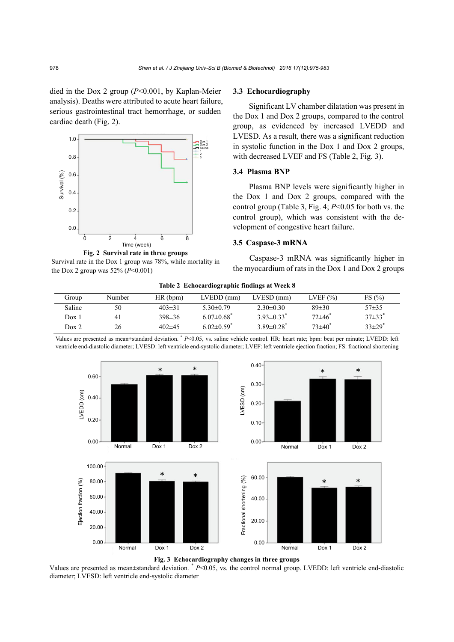died in the Dox 2 group (*P*<0.001, by Kaplan-Meier analysis). Deaths were attributed to acute heart failure, serious gastrointestinal tract hemorrhage, or sudden cardiac death (Fig. 2).



**Fig. 2 Survival rate in three groups**  Survival rate in the Dox 1 group was 78%, while mortality in the Dox 2 group was  $52\%$  ( $P < 0.001$ )

## **3.3 Echocardiography**

Significant LV chamber dilatation was present in the Dox 1 and Dox 2 groups, compared to the control group, as evidenced by increased LVEDD and LVESD. As a result, there was a significant reduction in systolic function in the Dox 1 and Dox 2 groups, with decreased LVEF and FS (Table 2, Fig. 3).

## **3.4 Plasma BNP**

Plasma BNP levels were significantly higher in the Dox 1 and Dox 2 groups, compared with the control group (Table 3, Fig. 4; *P*<0.05 for both vs. the control group), which was consistent with the development of congestive heart failure.

## **3.5 Caspase-3 mRNA**

Caspase-3 mRNA was significantly higher in the myocardium of rats in the Dox 1 and Dox 2 groups

| Table 2 Echocardiographic findings at Week 8 |        |              |                            |                              |                        |                        |
|----------------------------------------------|--------|--------------|----------------------------|------------------------------|------------------------|------------------------|
| Group                                        | Number | HR(bpm)      | $LVEDD$ (mm)               | $LVESD$ (mm)                 | LVEF $(\% )$           | FS(%)                  |
| Saline                                       | 50     | $403 \pm 31$ | $5.30\pm0.79$              | $2.30\pm0.30$                | $89 \pm 30$            | $57 + 35$              |
| Dox 1                                        | 41     | $398 \pm 36$ | $6.07\pm0.68$ <sup>*</sup> | $3.93\pm0.33$ <sup>*</sup>   | $72\pm46$ <sup>*</sup> | $37\pm33$ <sup>*</sup> |
| Dox 2                                        | 26     | $402\pm45$   | $6.02\pm0.59$ <sup>*</sup> | $3.89 \pm 0.28$ <sup>*</sup> | $73{\pm}40^*$          | $33\pm29$ <sup>*</sup> |

Values are presented as mean±standard deviation. \* *P*<0.05, vs. saline vehicle control. HR: heart rate; bpm: beat per minute; LVEDD: left ventricle end-diastolic diameter; LVESD: left ventricle end-systolic diameter; LVEF: left ventricle ejection fraction; FS: fractional shortening





Values are presented as mean±standard deviation. \* *P*<0.05, vs. the control normal group. LVEDD: left ventricle end-diastolic diameter; LVESD: left ventricle end-systolic diameter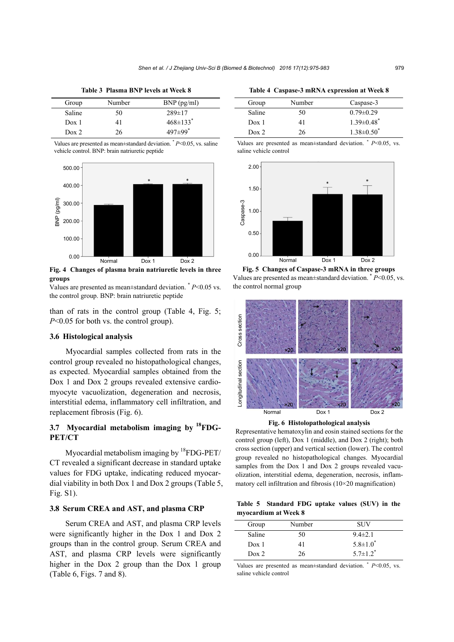**Table 3 Plasma BNP levels at Week 8** 

| Group            | Number | $BNP$ (pg/ml)              |
|------------------|--------|----------------------------|
| Saline           | 50     | $289 \pm 17$               |
| Dox <sub>1</sub> | 41     | $468 \pm 133$ <sup>*</sup> |
| Dox <sub>2</sub> | 26     | $497 \pm 99$ <sup>*</sup>  |

Values are presented as mean $\pm$ standard deviation.  $* P \le 0.05$ , vs. saline vehicle control. BNP: brain natriuretic peptide



**Fig. 4 Changes of plasma brain natriuretic levels in three groups** 

Values are presented as mean±standard deviation. \* *P*<0.05 vs. the control group. BNP: brain natriuretic peptide

than of rats in the control group (Table 4, Fig. 5; *P*<0.05 for both vs. the control group).

#### **3.6 Histological analysis**

Myocardial samples collected from rats in the control group revealed no histopathological changes, as expected. Myocardial samples obtained from the Dox 1 and Dox 2 groups revealed extensive cardiomyocyte vacuolization, degeneration and necrosis, interstitial edema, inflammatory cell infiltration, and replacement fibrosis (Fig. 6).

## **3.7 Myocardial metabolism imaging by 18FDG-PET/CT**

Myocardial metabolism imaging by <sup>18</sup>FDG-PET/ CT revealed a significant decrease in standard uptake values for FDG uptake, indicating reduced myocardial viability in both Dox 1 and Dox 2 groups (Table 5, Fig. S1).

## **3.8 Serum CREA and AST, and plasma CRP**

Serum CREA and AST, and plasma CRP levels were significantly higher in the Dox 1 and Dox 2 groups than in the control group. Serum CREA and AST, and plasma CRP levels were significantly higher in the Dox 2 group than the Dox 1 group (Table 6, Figs. 7 and 8).

**Table 4 Caspase-3 mRNA expression at Week 8** 

| Group            | Number | Caspase-3                    |
|------------------|--------|------------------------------|
| Saline           | 50     | $0.79 \pm 0.29$              |
| Dox <sub>1</sub> | 41     | $1.39 \pm 0.48$ <sup>*</sup> |
| Dox <sub>2</sub> | 26     | $1.38 \pm 0.50^{\circ}$      |

Values are presented as mean±standard deviation. \* *P*<0.05, vs. saline vehicle control



Values are presented as mean±standard deviation. \* *P*<0.05, vs. the control normal group



**Fig. 6 Histolopathological analysis** 

Representative hematoxylin and eosin stained sections for the control group (left), Dox 1 (middle), and Dox 2 (right); both cross section (upper) and vertical section (lower). The control group revealed no histopathological changes. Myocardial samples from the Dox 1 and Dox 2 groups revealed vacuolization, interstitial edema, degeneration, necrosis, inflammatory cell infiltration and fibrosis (10×20 magnification)

**Table 5 Standard FDG uptake values (SUV) in the myocardium at Week 8** 

| Group            | Number | <b>SUV</b>              |
|------------------|--------|-------------------------|
| Saline           | 50     | $9.4 \pm 2.1$           |
| Dox <sub>1</sub> | 41     | $5.8 \pm 1.0^{\degree}$ |
| Dox <sub>2</sub> | 26     | $5.7 \pm 1.2^*$         |

Values are presented as mean±standard deviation. \* *P*<0.05, vs. saline vehicle control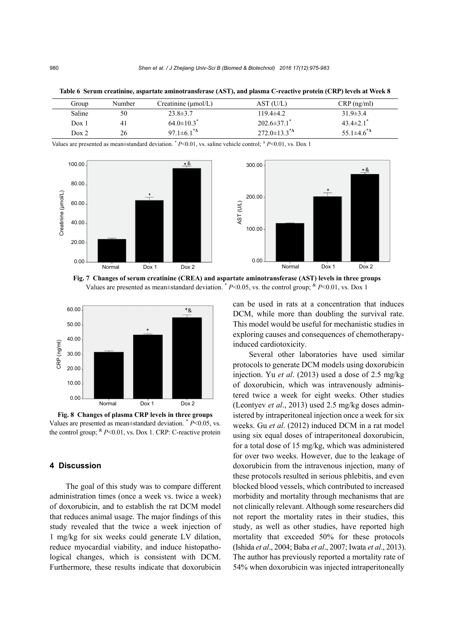| Group  | Number | Creatinine $(\mu \text{mol/L})$ | AST (U/L)                                              | $CRP$ (ng/ml)               |
|--------|--------|---------------------------------|--------------------------------------------------------|-----------------------------|
| Saline | 50     | $23.8 \pm 3.7$                  | 119.4±4.2                                              | $31.9 \pm 3.4$              |
| Dox 1  | 41     | $64.0 \pm 10.3$ <sup>*</sup>    | $202.6 \pm 37.1$                                       | $43.4 \pm 2.1$ <sup>*</sup> |
| Dox 2  | 26     | 97.1 $\pm$ 6.1 <sup>*</sup>     | $272.0 \pm 13.3^{\ast}$ <sup><math>\Delta</math></sup> | 55.1 $\pm$ 4.6 <sup>*</sup> |

**Table 6 Serum creatinine, aspartate aminotransferase (AST), and plasma C-reactive protein (CRP) levels at Week 8** 

Values are presented as mean±standard deviation. \* *P*<0.01, vs. saline vehicle control; <sup>Δ</sup> *P*<0.01, vs. Dox 1



**Fig. 7 Changes of serum creatinine (CREA) and aspartate aminotransferase (AST) levels in three groups**  Values are presented as mean $\pm$ standard deviation. \* *P*<0.05, vs. the control group; \* *P*<0.01, vs. Dox 1



**Fig. 8 Changes of plasma CRP levels in three groups**  Values are presented as mean±standard deviation. \* *P*<0.05, vs. the control group;  ${}^{k}P<0.01$ , vs. Dox 1. CRP: C-reactive protein

## **4 Discussion**

The goal of this study was to compare different administration times (once a week vs. twice a week) of doxorubicin, and to establish the rat DCM model that reduces animal usage. The major findings of this study revealed that the twice a week injection of 1 mg/kg for six weeks could generate LV dilation, reduce myocardial viability, and induce histopathological changes, which is consistent with DCM. Furthermore, these results indicate that doxorubicin

can be used in rats at a concentration that induces DCM, while more than doubling the survival rate. This model would be useful for mechanistic studies in exploring causes and consequences of chemotherapyinduced cardiotoxicity.

Several other laboratories have used similar protocols to generate DCM models using doxorubicin injection. Yu *et al*. (2013) used a dose of 2.5 mg/kg of doxorubicin, which was intravenously administered twice a week for eight weeks. Other studies (Leontyev *et al*., 2013) used 2.5 mg/kg doses administered by intraperitoneal injection once a week for six weeks. Gu *et al*. (2012) induced DCM in a rat model using six equal doses of intraperitoneal doxorubicin, for a total dose of 15 mg/kg, which was administered for over two weeks. However, due to the leakage of doxorubicin from the intravenous injection, many of these protocols resulted in serious phlebitis, and even blocked blood vessels, which contributed to increased morbidity and mortality through mechanisms that are not clinically relevant. Although some researchers did not report the mortality rates in their studies, this study, as well as other studies, have reported high mortality that exceeded 50% for these protocols (Ishida *et al*., 2004; Baba *et al*., 2007; Iwata *et al*., 2013). The author has previously reported a mortality rate of 54% when doxorubicin was injected intraperitoneally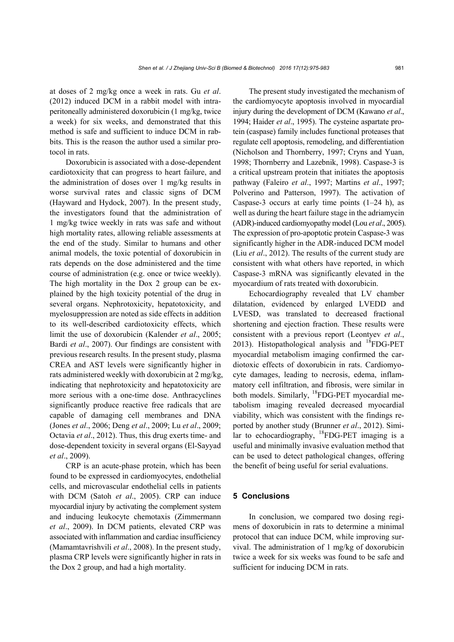at doses of 2 mg/kg once a week in rats. Gu *et al*. (2012) induced DCM in a rabbit model with intraperitoneally administered doxorubicin (1 mg/kg, twice a week) for six weeks, and demonstrated that this method is safe and sufficient to induce DCM in rabbits. This is the reason the author used a similar protocol in rats.

Doxorubicin is associated with a dose-dependent cardiotoxicity that can progress to heart failure, and the administration of doses over 1 mg/kg results in worse survival rates and classic signs of DCM (Hayward and Hydock, 2007). In the present study, the investigators found that the administration of 1 mg/kg twice weekly in rats was safe and without high mortality rates, allowing reliable assessments at the end of the study. Similar to humans and other animal models, the toxic potential of doxorubicin in rats depends on the dose administered and the time course of administration (e.g. once or twice weekly). The high mortality in the Dox 2 group can be explained by the high toxicity potential of the drug in several organs. Nephrotoxicity, hepatotoxicity, and myelosuppression are noted as side effects in addition to its well-described cardiotoxicity effects, which limit the use of doxorubicin (Kalender *et al*., 2005; Bardi *et al*., 2007). Our findings are consistent with previous research results. In the present study, plasma CREA and AST levels were significantly higher in rats administered weekly with doxorubicin at 2 mg/kg, indicating that nephrotoxicity and hepatotoxicity are more serious with a one-time dose. Anthracyclines significantly produce reactive free radicals that are capable of damaging cell membranes and DNA (Jones *et al*., 2006; Deng *et al*., 2009; Lu *et al*., 2009; Octavia *et al*., 2012). Thus, this drug exerts time- and dose-dependent toxicity in several organs (El-Sayyad *et al*., 2009).

CRP is an acute-phase protein, which has been found to be expressed in cardiomyocytes, endothelial cells, and microvascular endothelial cells in patients with DCM (Satoh *et al*., 2005). CRP can induce myocardial injury by activating the complement system and inducing leukocyte chemotaxis (Zimmermann *et al*., 2009). In DCM patients, elevated CRP was associated with inflammation and cardiac insufficiency (Mamamtavrishvili *et al*., 2008). In the present study, plasma CRP levels were significantly higher in rats in the Dox 2 group, and had a high mortality.

The present study investigated the mechanism of the cardiomyocyte apoptosis involved in myocardial injury during the development of DCM (Kawano *et al*., 1994; Haider *et al*., 1995). The cysteine aspartate protein (caspase) family includes functional proteases that regulate cell apoptosis, remodeling, and differentiation (Nicholson and Thornberry, 1997; Cryns and Yuan, 1998; Thornberry and Lazebnik, 1998). Caspase-3 is a critical upstream protein that initiates the apoptosis pathway (Faleiro *et al*., 1997; Martins *et al*., 1997; Polverino and Patterson, 1997). The activation of Caspase-3 occurs at early time points  $(1-24 h)$ , as well as during the heart failure stage in the adriamycin (ADR)-induced cardiomyopathy model (Lou *et al*., 2005). The expression of pro-apoptotic protein Caspase-3 was significantly higher in the ADR-induced DCM model (Liu *et al*., 2012). The results of the current study are consistent with what others have reported, in which Caspase-3 mRNA was significantly elevated in the myocardium of rats treated with doxorubicin.

Echocardiography revealed that LV chamber dilatation, evidenced by enlarged LVEDD and LVESD, was translated to decreased fractional shortening and ejection fraction. These results were consistent with a previous report (Leontyev *et al*., 2013). Histopathological analysis and  $^{18}$ FDG-PET myocardial metabolism imaging confirmed the cardiotoxic effects of doxorubicin in rats. Cardiomyocyte damages, leading to necrosis, edema, inflammatory cell infiltration, and fibrosis, were similar in both models. Similarly, <sup>18</sup>FDG-PET myocardial metabolism imaging revealed decreased myocardial viability, which was consistent with the findings reported by another study (Brunner *et al*., 2012). Similar to echocardiography,  $^{18}$ FDG-PET imaging is a useful and minimally invasive evaluation method that can be used to detect pathological changes, offering the benefit of being useful for serial evaluations.

## **5 Conclusions**

In conclusion, we compared two dosing regimens of doxorubicin in rats to determine a minimal protocol that can induce DCM, while improving survival. The administration of 1 mg/kg of doxorubicin twice a week for six weeks was found to be safe and sufficient for inducing DCM in rats.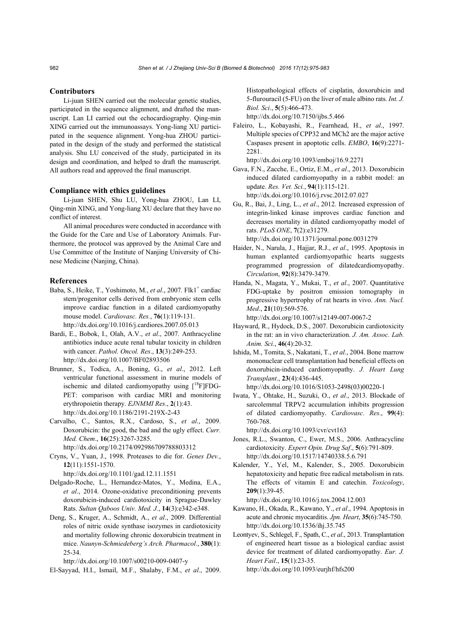#### **Contributors**

Li-juan SHEN carried out the molecular genetic studies, participated in the sequence alignment, and drafted the manuscript. Lan LI carried out the echocardiography. Qing-min XING carried out the immunoassays. Yong-liang XU participated in the sequence alignment. Yong-hua ZHOU participated in the design of the study and performed the statistical analysis. Shu LU conceived of the study, participated in its design and coordination, and helped to draft the manuscript. All authors read and approved the final manuscript.

#### **Compliance with ethics guidelines**

Li-juan SHEN, Shu LU, Yong-hua ZHOU, Lan LI, Qing-min XING, and Yong-liang XU declare that they have no conflict of interest.

All animal procedures were conducted in accordance with the Guide for the Care and Use of Laboratory Animals. Furthermore, the protocol was approved by the Animal Care and Use Committee of the Institute of Nanjing University of Chinese Medicine (Nanjing, China).

## **References**

Baba, S., Heike, T., Yoshimoto, M., et al., 2007. Flk1<sup>+</sup> cardiac stem/progenitor cells derived from embryonic stem cells improve cardiac function in a dilated cardiomyopathy mouse model. *Cardiovasc. Res.*, **76**(1):119-131. http://dx.doi.org/10.1016/j.cardiores.2007.05.013

Bardi, E., Bobok, I., Olah, A.V., *et al*., 2007. Anthracycline antibiotics induce acute renal tubular toxicity in children with cancer. *Pathol. Oncol. Res*., **13**(3):249-253. http://dx.doi.org/10.1007/BF02893506

- Brunner, S., Todica, A., Boning, G., *et al*., 2012. Left ventricular functional assessment in murine models of ischemic and dilated cardiomyopathy using  $[18F]FDG-$ PET: comparison with cardiac MRI and monitoring erythropoietin therapy. *EJNMMI Res*., **2**(1):43. http://dx.doi.org/10.1186/2191-219X-2-43
- Carvalho, C., Santos, R.X., Cardoso, S., *et al*., 2009. Doxorubicin: the good, the bad and the ugly effect. *Curr. Med. Chem*., **16**(25):3267-3285.

http://dx.doi.org/10.2174/092986709788803312

Cryns, V., Yuan, J., 1998. Proteases to die for. *Genes Dev.*, **12**(11):1551-1570.

http://dx.doi.org/10.1101/gad.12.11.1551

- Delgado-Roche, L., Hernandez-Matos, Y., Medina, E.A., *et al*., 2014. Ozone-oxidative preconditioning prevents doxorubicin-induced cardiotoxicity in Sprague-Dawley Rats. *Sultan Qaboos Univ. Med. J.*, **14**(3):e342-e348.
- Deng, S., Kruger, A., Schmidt, A., *et al*., 2009. Differential roles of nitric oxide synthase isozymes in cardiotoxicity and mortality following chronic doxorubicin treatment in mice. *Naunyn-Schmiedeberg's Arch. Pharmacol*., **380**(1): 25-34.

http://dx.doi.org/10.1007/s00210-009-0407-y

El-Sayyad, H.I., Ismail, M.F., Shalaby, F.M., *et al*., 2009.

Histopathological effects of cisplatin, doxorubicin and 5-flurouracil (5-FU) on the liver of male albino rats. *Int. J. Biol. Sci*., **5**(5):466-473. http://dx.doi.org/10.7150/ijbs.5.466

Faleiro, L., Kobayashi, R., Fearnhead, H., *et al*., 1997. Multiple species of CPP32 and MCh2 are the major active Caspases present in apoptotic cells. *EMBO*, **16**(9):2271- 2281.

http://dx.doi.org/10.1093/emboj/16.9.2271

- Gava, F.N., Zacche, E., Ortiz, E.M., *et al*., 2013. Doxorubicin induced dilated cardiomyopathy in a rabbit model: an update. *Res. Vet. Sci.*, **94**(1):115-121. http://dx.doi.org/10.1016/j.rvsc.2012.07.027
- Gu, R., Bai, J., Ling, L., *et al*., 2012. Increased expression of integrin-linked kinase improves cardiac function and decreases mortality in dilated cardiomyopathy model of rats. *PLoS ONE*, **7**(2):e31279. http://dx.doi.org/10.1371/journal.pone.0031279
- Haider, N., Narula, J., Hajjar, R.J., *et al*., 1995. Apoptosis in human explanted cardiomyopathic hearts suggests programmed progression of dilatedcardiomyopathy. *Circulation*, **92**(8):3479-3479.
- Handa, N., Magata, Y., Mukai, T., *et al*., 2007. Quantitative FDG-uptake by positron emission tomography in progressive hypertrophy of rat hearts in vivo. *Ann. Nucl. Med*., **21**(10):569-576. http://dx.doi.org/10.1007/s12149-007-0067-2
- Hayward, R., Hydock, D.S., 2007. Doxorubicin cardiotoxicity in the rat: an in vivo characterization. *J. Am. Assoc. Lab. Anim. Sci*., **46**(4):20-32.
- Ishida, M., Tomita, S., Nakatani, T., *et al*., 2004. Bone marrow mononuclear cell transplantation had beneficial effects on doxorubicin-induced cardiomyopathy. *J. Heart Lung Transplant*., **23**(4):436-445. http://dx.doi.org/10.1016/S1053-2498(03)00220-1
- Iwata, Y., Ohtake, H., Suzuki, O., *et al*., 2013. Blockade of sarcolemmal TRPV2 accumulation inhibits progression of dilated cardiomyopathy. *Cardiovasc. Res*., **99**(4): 760-768.

http://dx.doi.org/10.1093/cvr/cvt163

- Jones, R.L., Swanton, C., Ewer, M.S., 2006. Anthracycline cardiotoxicity. *Expert Opin. Drug Saf*., **5**(6):791-809. http://dx.doi.org/10.1517/14740338.5.6.791
- Kalender, Y., Yel, M., Kalender, S., 2005. Doxorubicin hepatotoxicity and hepatic free radical metabolism in rats. The effects of vitamin E and catechin. *Toxicology*, **209**(1):39-45.

http://dx.doi.org/10.1016/j.tox.2004.12.003

- Kawano, H., Okada, R., Kawano, Y., *et al*., 1994. Apoptosis in acute and chronic myocarditis. *Jpn. Heart*, **35**(6):745-750. http://dx.doi.org/10.1536/ihj.35.745
- Leontyev, S., Schlegel, F., Spath, C., *et al*., 2013. Transplantation of engineered heart tissue as a biological cardiac assist device for treatment of dilated cardiomyopathy. *Eur. J. Heart Fail*., **15**(1):23-35. http://dx.doi.org/10.1093/eurjhf/hfs200